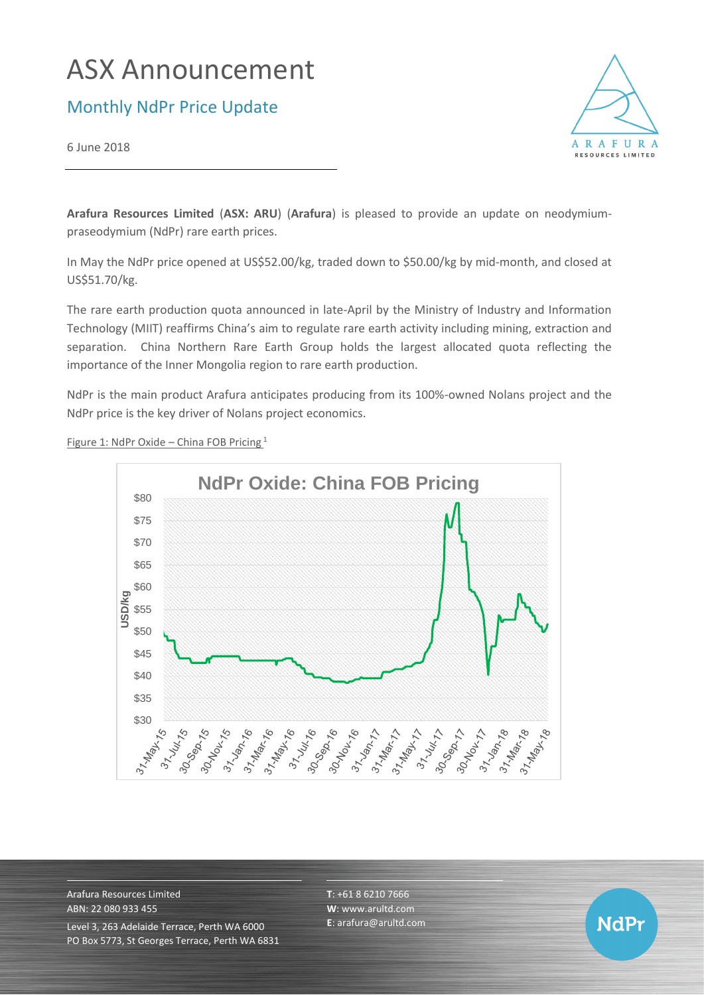# ASX Announcement

Monthly NdPr Price Update

6 June 2018



**Arafura Resources Limited** (**ASX: ARU**) (**Arafura**) is pleased to provide an update on neodymiumpraseodymium (NdPr) rare earth prices.

In May the NdPr price opened at US\$52.00/kg, traded down to \$50.00/kg by mid-month, and closed at US\$51.70/kg.

The rare earth production quota announced in late-April by the Ministry of Industry and Information Technology (MIIT) reaffirms China's aim to regulate rare earth activity including mining, extraction and separation. China Northern Rare Earth Group holds the largest allocated quota reflecting the importance of the Inner Mongolia region to rare earth production.

NdPr is the main product Arafura anticipates producing from its 100%-owned Nolans project and the NdPr price is the key driver of Nolans project economics.



Figure 1: NdPr Oxide – China FOB Pricing <sup>1</sup>

Arafura Resources Limited ABN: 22 080 933 455 Level 3, 263 Adelaide Terrace, Perth WA 6000 PO Box 5773, St Georges Terrace, Perth WA 6831 **T**: +61 8 6210 7666 **W**: [www.arultd.com](http://www.arultd.com/) **E**[: arafura@arultd.com](mailto:arafura@arultd.com)

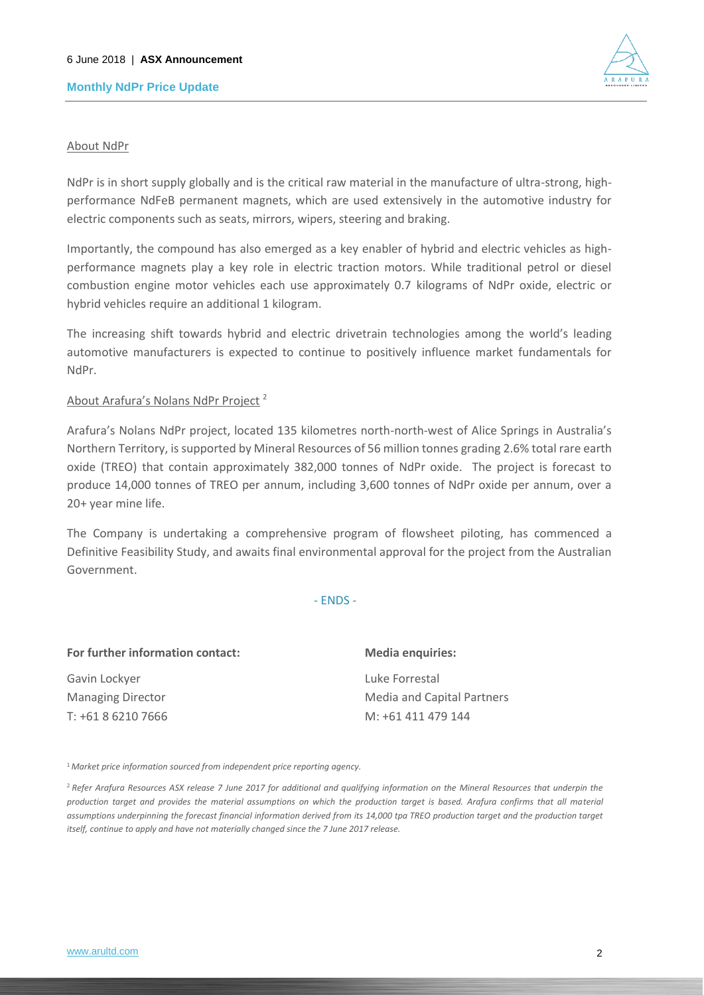### **Monthly NdPr Price Update**



#### About NdPr

NdPr is in short supply globally and is the critical raw material in the manufacture of ultra-strong, highperformance NdFeB permanent magnets, which are used extensively in the automotive industry for electric components such as seats, mirrors, wipers, steering and braking.

Importantly, the compound has also emerged as a key enabler of hybrid and electric vehicles as highperformance magnets play a key role in electric traction motors. While traditional petrol or diesel combustion engine motor vehicles each use approximately 0.7 kilograms of NdPr oxide, electric or hybrid vehicles require an additional 1 kilogram.

The increasing shift towards hybrid and electric drivetrain technologies among the world's leading automotive manufacturers is expected to continue to positively influence market fundamentals for NdPr.

### About Arafura's Nolans NdPr Project <sup>2</sup>

Arafura's Nolans NdPr project, located 135 kilometres north-north-west of Alice Springs in Australia's Northern Territory, is supported by Mineral Resources of 56 million tonnes grading 2.6% total rare earth oxide (TREO) that contain approximately 382,000 tonnes of NdPr oxide. The project is forecast to produce 14,000 tonnes of TREO per annum, including 3,600 tonnes of NdPr oxide per annum, over a 20+ year mine life.

The Company is undertaking a comprehensive program of flowsheet piloting, has commenced a Definitive Feasibility Study, and awaits final environmental approval for the project from the Australian Government.

#### - ENDS -

| For further information contact: | <b>Media enquiries:</b>           |
|----------------------------------|-----------------------------------|
| Gavin Lockyer                    | Luke Forrestal                    |
| <b>Managing Director</b>         | <b>Media and Capital Partners</b> |
| T: +61 8 6210 7666               | M: +61 411 479 144                |

<sup>1</sup>*Market price information sourced from independent price reporting agency.*

<sup>2</sup>*Refer Arafura Resources ASX release 7 June 2017 for additional and qualifying information on the Mineral Resources that underpin the production target and provides the material assumptions on which the production target is based. Arafura confirms that all material*  assumptions underpinning the forecast financial information derived from its 14,000 tpa TREO production target and the production target *itself, continue to apply and have not materially changed since the 7 June 2017 release.*